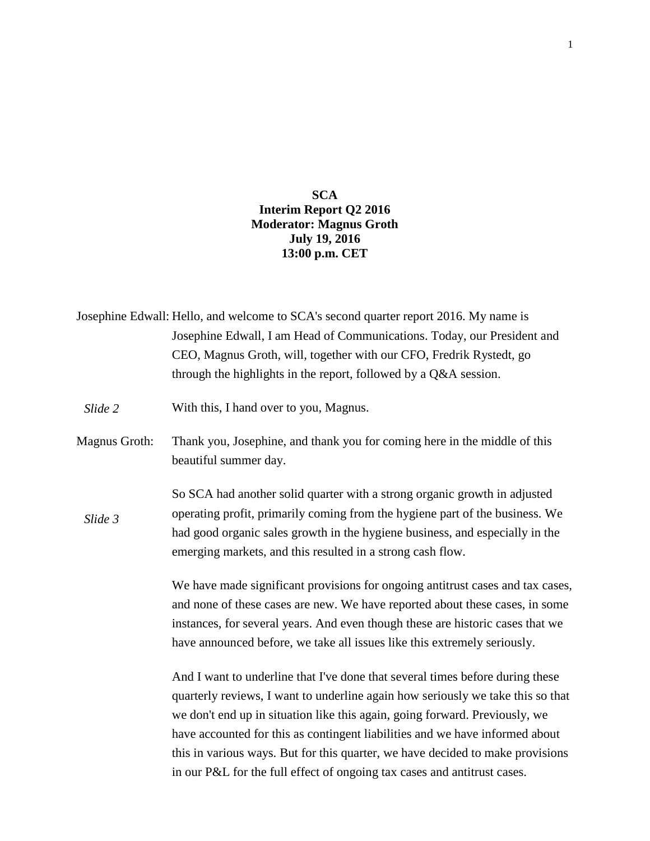## **SCA Interim Report Q2 2016 Moderator: Magnus Groth July 19, 2016 13:00 p.m. CET**

|               | Josephine Edwall: Hello, and welcome to SCA's second quarter report 2016. My name is                                                                                                                                                      |
|---------------|-------------------------------------------------------------------------------------------------------------------------------------------------------------------------------------------------------------------------------------------|
|               | Josephine Edwall, I am Head of Communications. Today, our President and                                                                                                                                                                   |
|               | CEO, Magnus Groth, will, together with our CFO, Fredrik Rystedt, go                                                                                                                                                                       |
|               | through the highlights in the report, followed by a Q&A session.                                                                                                                                                                          |
| Slide 2       | With this, I hand over to you, Magnus.                                                                                                                                                                                                    |
| Magnus Groth: | Thank you, Josephine, and thank you for coming here in the middle of this<br>beautiful summer day.                                                                                                                                        |
| Slide 3       | So SCA had another solid quarter with a strong organic growth in adjusted<br>operating profit, primarily coming from the hygiene part of the business. We<br>had good organic sales growth in the hygiene business, and especially in the |
|               | emerging markets, and this resulted in a strong cash flow.                                                                                                                                                                                |
|               | We have made significant provisions for ongoing antitrust cases and tax cases,                                                                                                                                                            |
|               | and none of these cases are new. We have reported about these cases, in some                                                                                                                                                              |
|               | instances, for several years. And even though these are historic cases that we                                                                                                                                                            |
|               | have announced before, we take all issues like this extremely seriously.                                                                                                                                                                  |
|               | And I want to underline that I've done that several times before during these                                                                                                                                                             |
|               | quarterly reviews, I want to underline again how seriously we take this so that                                                                                                                                                           |
|               | we don't end up in situation like this again, going forward. Previously, we                                                                                                                                                               |
|               | have accounted for this as contingent liabilities and we have informed about                                                                                                                                                              |
|               | this in various ways. But for this quarter, we have decided to make provisions                                                                                                                                                            |
|               | in our P&L for the full effect of ongoing tax cases and antitrust cases.                                                                                                                                                                  |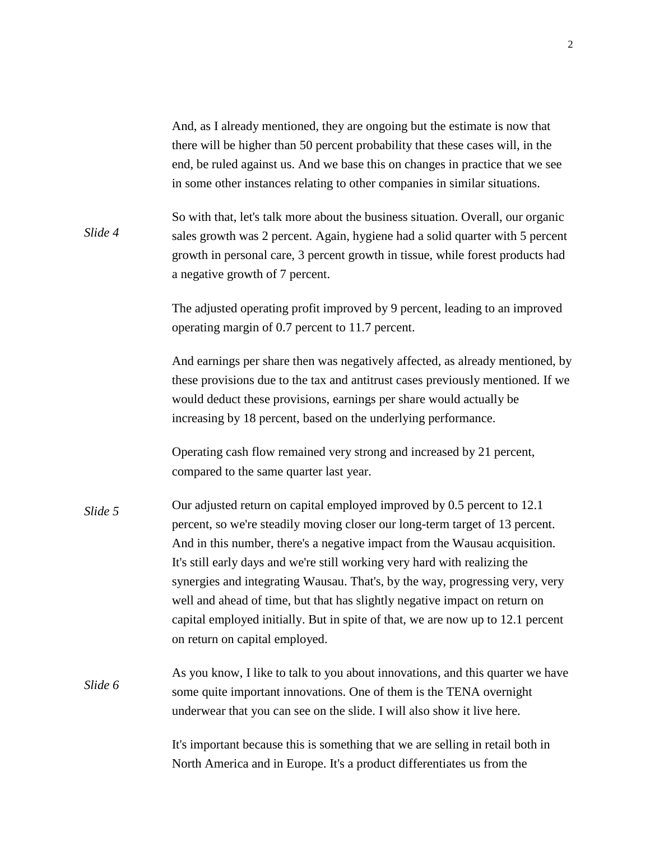And, as I already mentioned, they are ongoing but the estimate is now that there will be higher than 50 percent probability that these cases will, in the end, be ruled against us. And we base this on changes in practice that we see in some other instances relating to other companies in similar situations.

So with that, let's talk more about the business situation. Overall, our organic sales growth was 2 percent. Again, hygiene had a solid quarter with 5 percent growth in personal care, 3 percent growth in tissue, while forest products had a negative growth of 7 percent. *Slide 4*

> The adjusted operating profit improved by 9 percent, leading to an improved operating margin of 0.7 percent to 11.7 percent.

And earnings per share then was negatively affected, as already mentioned, by these provisions due to the tax and antitrust cases previously mentioned. If we would deduct these provisions, earnings per share would actually be increasing by 18 percent, based on the underlying performance.

Operating cash flow remained very strong and increased by 21 percent, compared to the same quarter last year.

- Our adjusted return on capital employed improved by 0.5 percent to 12.1 percent, so we're steadily moving closer our long-term target of 13 percent. And in this number, there's a negative impact from the Wausau acquisition. It's still early days and we're still working very hard with realizing the synergies and integrating Wausau. That's, by the way, progressing very, very well and ahead of time, but that has slightly negative impact on return on capital employed initially. But in spite of that, we are now up to 12.1 percent on return on capital employed. *Slide 5*
- As you know, I like to talk to you about innovations, and this quarter we have some quite important innovations. One of them is the TENA overnight underwear that you can see on the slide. I will also show it live here. *Slide 6*

It's important because this is something that we are selling in retail both in North America and in Europe. It's a product differentiates us from the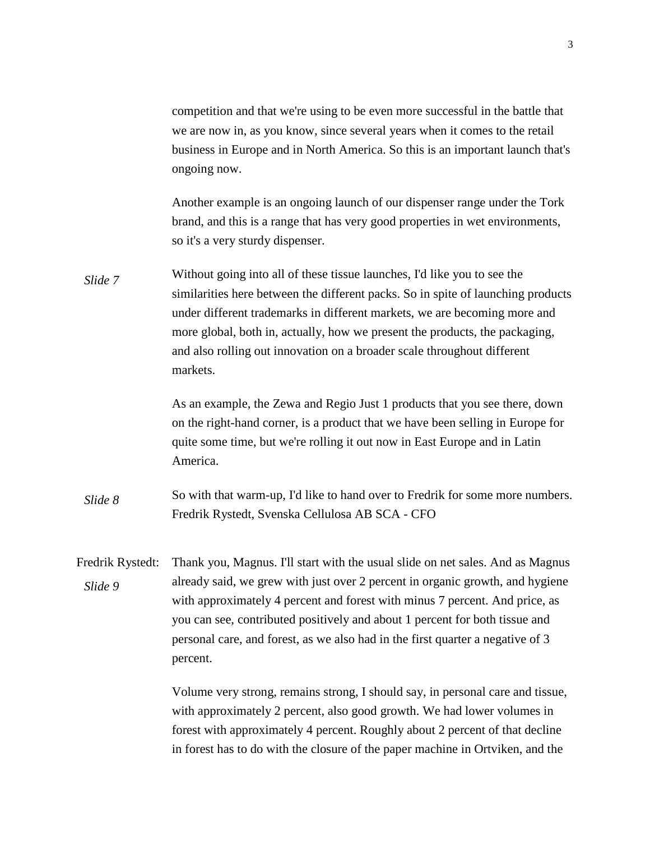competition and that we're using to be even more successful in the battle that we are now in, as you know, since several years when it comes to the retail business in Europe and in North America. So this is an important launch that's ongoing now.

Another example is an ongoing launch of our dispenser range under the Tork brand, and this is a range that has very good properties in wet environments, so it's a very sturdy dispenser.

Without going into all of these tissue launches, I'd like you to see the similarities here between the different packs. So in spite of launching products under different trademarks in different markets, we are becoming more and more global, both in, actually, how we present the products, the packaging, and also rolling out innovation on a broader scale throughout different markets. *Slide 7*

> As an example, the Zewa and Regio Just 1 products that you see there, down on the right-hand corner, is a product that we have been selling in Europe for quite some time, but we're rolling it out now in East Europe and in Latin America.

- So with that warm-up, I'd like to hand over to Fredrik for some more numbers. Fredrik Rystedt, Svenska Cellulosa AB SCA - CFO *Slide 8*
- Fredrik Rystedt: Thank you, Magnus. I'll start with the usual slide on net sales. And as Magnus already said, we grew with just over 2 percent in organic growth, and hygiene with approximately 4 percent and forest with minus 7 percent. And price, as you can see, contributed positively and about 1 percent for both tissue and personal care, and forest, as we also had in the first quarter a negative of 3 percent. *Slide 9*

Volume very strong, remains strong, I should say, in personal care and tissue, with approximately 2 percent, also good growth. We had lower volumes in forest with approximately 4 percent. Roughly about 2 percent of that decline in forest has to do with the closure of the paper machine in Ortviken, and the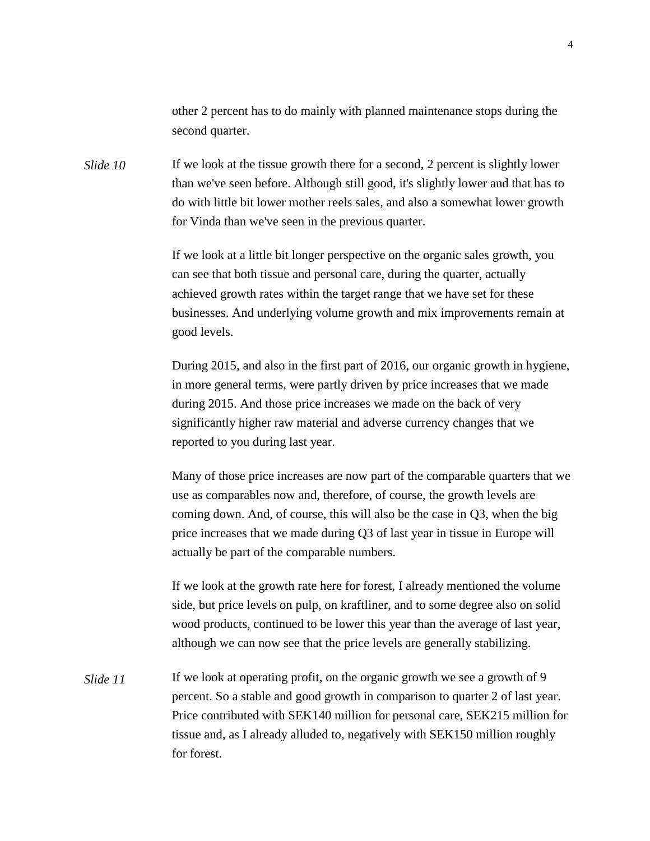other 2 percent has to do mainly with planned maintenance stops during the second quarter.

If we look at the tissue growth there for a second, 2 percent is slightly lower than we've seen before. Although still good, it's slightly lower and that has to do with little bit lower mother reels sales, and also a somewhat lower growth for Vinda than we've seen in the previous quarter. *Slide 10*

> If we look at a little bit longer perspective on the organic sales growth, you can see that both tissue and personal care, during the quarter, actually achieved growth rates within the target range that we have set for these businesses. And underlying volume growth and mix improvements remain at good levels.

During 2015, and also in the first part of 2016, our organic growth in hygiene, in more general terms, were partly driven by price increases that we made during 2015. And those price increases we made on the back of very significantly higher raw material and adverse currency changes that we reported to you during last year.

Many of those price increases are now part of the comparable quarters that we use as comparables now and, therefore, of course, the growth levels are coming down. And, of course, this will also be the case in Q3, when the big price increases that we made during Q3 of last year in tissue in Europe will actually be part of the comparable numbers.

If we look at the growth rate here for forest, I already mentioned the volume side, but price levels on pulp, on kraftliner, and to some degree also on solid wood products, continued to be lower this year than the average of last year, although we can now see that the price levels are generally stabilizing.

If we look at operating profit, on the organic growth we see a growth of 9 percent. So a stable and good growth in comparison to quarter 2 of last year. Price contributed with SEK140 million for personal care, SEK215 million for tissue and, as I already alluded to, negatively with SEK150 million roughly for forest. *Slide 11*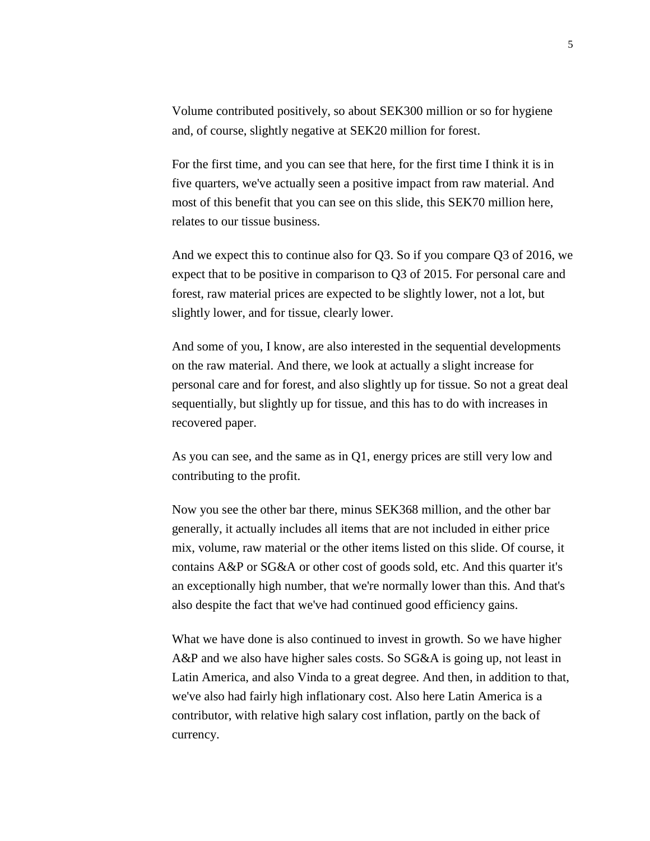Volume contributed positively, so about SEK300 million or so for hygiene and, of course, slightly negative at SEK20 million for forest.

For the first time, and you can see that here, for the first time I think it is in five quarters, we've actually seen a positive impact from raw material. And most of this benefit that you can see on this slide, this SEK70 million here, relates to our tissue business.

And we expect this to continue also for Q3. So if you compare Q3 of 2016, we expect that to be positive in comparison to Q3 of 2015. For personal care and forest, raw material prices are expected to be slightly lower, not a lot, but slightly lower, and for tissue, clearly lower.

And some of you, I know, are also interested in the sequential developments on the raw material. And there, we look at actually a slight increase for personal care and for forest, and also slightly up for tissue. So not a great deal sequentially, but slightly up for tissue, and this has to do with increases in recovered paper.

As you can see, and the same as in Q1, energy prices are still very low and contributing to the profit.

Now you see the other bar there, minus SEK368 million, and the other bar generally, it actually includes all items that are not included in either price mix, volume, raw material or the other items listed on this slide. Of course, it contains A&P or SG&A or other cost of goods sold, etc. And this quarter it's an exceptionally high number, that we're normally lower than this. And that's also despite the fact that we've had continued good efficiency gains.

What we have done is also continued to invest in growth. So we have higher A&P and we also have higher sales costs. So SG&A is going up, not least in Latin America, and also Vinda to a great degree. And then, in addition to that, we've also had fairly high inflationary cost. Also here Latin America is a contributor, with relative high salary cost inflation, partly on the back of currency.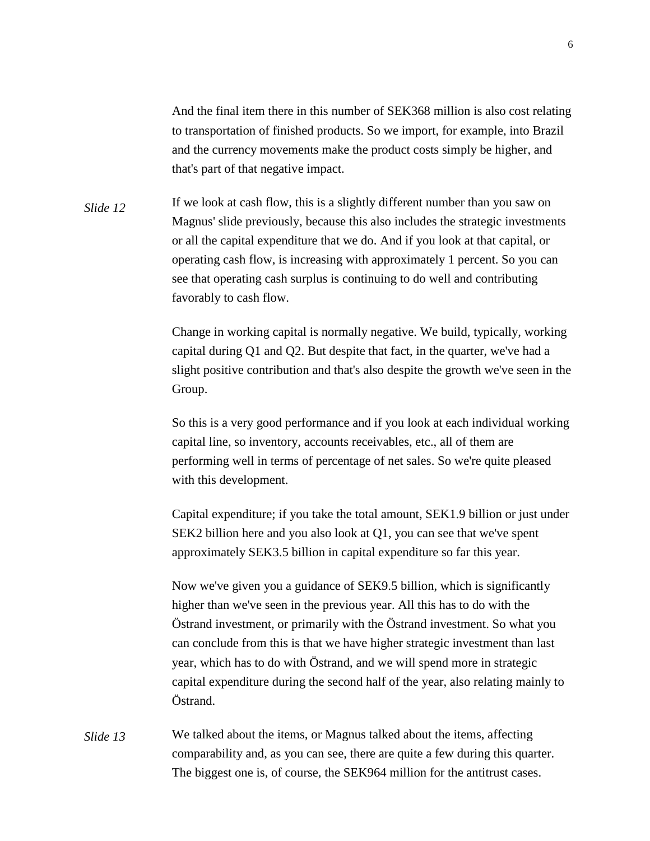And the final item there in this number of SEK368 million is also cost relating to transportation of finished products. So we import, for example, into Brazil and the currency movements make the product costs simply be higher, and that's part of that negative impact.

If we look at cash flow, this is a slightly different number than you saw on Magnus' slide previously, because this also includes the strategic investments or all the capital expenditure that we do. And if you look at that capital, or operating cash flow, is increasing with approximately 1 percent. So you can see that operating cash surplus is continuing to do well and contributing favorably to cash flow. *Slide 12*

> Change in working capital is normally negative. We build, typically, working capital during Q1 and Q2. But despite that fact, in the quarter, we've had a slight positive contribution and that's also despite the growth we've seen in the Group.

> So this is a very good performance and if you look at each individual working capital line, so inventory, accounts receivables, etc., all of them are performing well in terms of percentage of net sales. So we're quite pleased with this development.

> Capital expenditure; if you take the total amount, SEK1.9 billion or just under SEK2 billion here and you also look at Q1, you can see that we've spent approximately SEK3.5 billion in capital expenditure so far this year.

Now we've given you a guidance of SEK9.5 billion, which is significantly higher than we've seen in the previous year. All this has to do with the Östrand investment, or primarily with the Östrand investment. So what you can conclude from this is that we have higher strategic investment than last year, which has to do with Östrand, and we will spend more in strategic capital expenditure during the second half of the year, also relating mainly to Östrand.

We talked about the items, or Magnus talked about the items, affecting comparability and, as you can see, there are quite a few during this quarter. The biggest one is, of course, the SEK964 million for the antitrust cases. *Slide 13*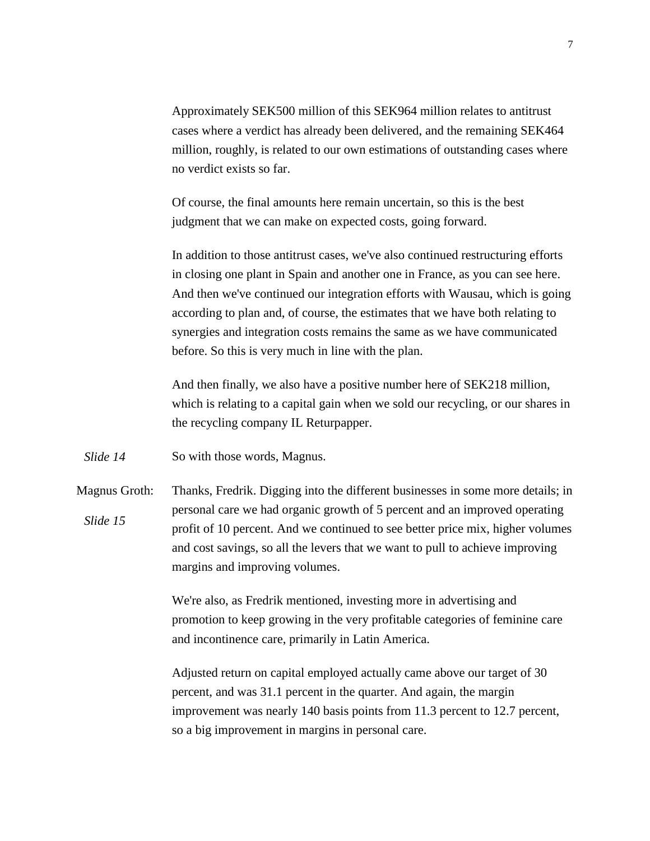Approximately SEK500 million of this SEK964 million relates to antitrust cases where a verdict has already been delivered, and the remaining SEK464 million, roughly, is related to our own estimations of outstanding cases where no verdict exists so far.

Of course, the final amounts here remain uncertain, so this is the best judgment that we can make on expected costs, going forward.

In addition to those antitrust cases, we've also continued restructuring efforts in closing one plant in Spain and another one in France, as you can see here. And then we've continued our integration efforts with Wausau, which is going according to plan and, of course, the estimates that we have both relating to synergies and integration costs remains the same as we have communicated before. So this is very much in line with the plan.

And then finally, we also have a positive number here of SEK218 million, which is relating to a capital gain when we sold our recycling, or our shares in the recycling company IL Returpapper.

So with those words, Magnus. *Slide 14*

Magnus Groth: Thanks, Fredrik. Digging into the different businesses in some more details; in personal care we had organic growth of 5 percent and an improved operating profit of 10 percent. And we continued to see better price mix, higher volumes and cost savings, so all the levers that we want to pull to achieve improving margins and improving volumes. *Slide 15*

> We're also, as Fredrik mentioned, investing more in advertising and promotion to keep growing in the very profitable categories of feminine care and incontinence care, primarily in Latin America.

Adjusted return on capital employed actually came above our target of 30 percent, and was 31.1 percent in the quarter. And again, the margin improvement was nearly 140 basis points from 11.3 percent to 12.7 percent, so a big improvement in margins in personal care.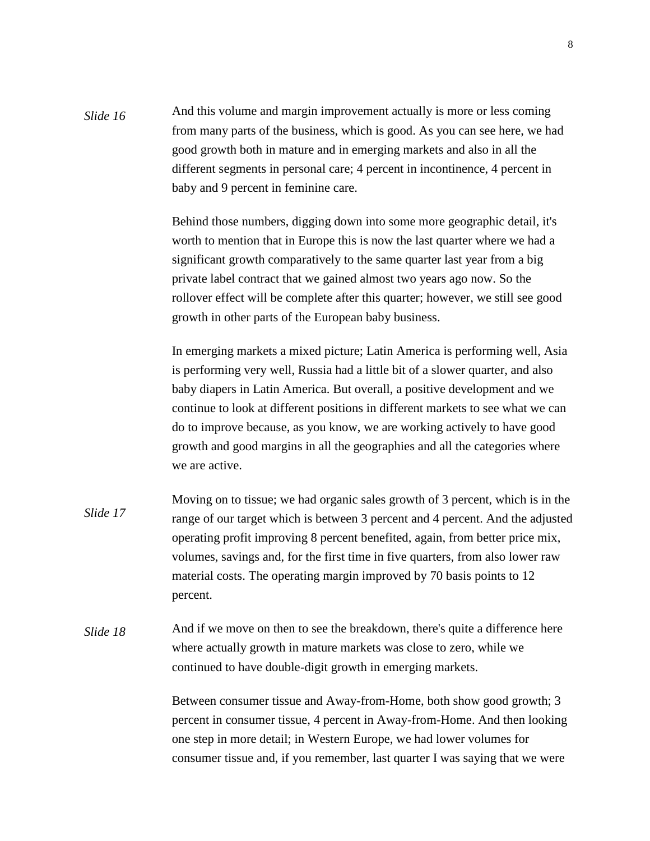And this volume and margin improvement actually is more or less coming from many parts of the business, which is good. As you can see here, we had good growth both in mature and in emerging markets and also in all the different segments in personal care; 4 percent in incontinence, 4 percent in baby and 9 percent in feminine care. *Slide 16*

> Behind those numbers, digging down into some more geographic detail, it's worth to mention that in Europe this is now the last quarter where we had a significant growth comparatively to the same quarter last year from a big private label contract that we gained almost two years ago now. So the rollover effect will be complete after this quarter; however, we still see good growth in other parts of the European baby business.

In emerging markets a mixed picture; Latin America is performing well, Asia is performing very well, Russia had a little bit of a slower quarter, and also baby diapers in Latin America. But overall, a positive development and we continue to look at different positions in different markets to see what we can do to improve because, as you know, we are working actively to have good growth and good margins in all the geographies and all the categories where we are active.

Moving on to tissue; we had organic sales growth of 3 percent, which is in the range of our target which is between 3 percent and 4 percent. And the adjusted operating profit improving 8 percent benefited, again, from better price mix, volumes, savings and, for the first time in five quarters, from also lower raw material costs. The operating margin improved by 70 basis points to 12 percent. *Slide 17*

And if we move on then to see the breakdown, there's quite a difference here where actually growth in mature markets was close to zero, while we continued to have double-digit growth in emerging markets. *Slide 18*

> Between consumer tissue and Away-from-Home, both show good growth; 3 percent in consumer tissue, 4 percent in Away-from-Home. And then looking one step in more detail; in Western Europe, we had lower volumes for consumer tissue and, if you remember, last quarter I was saying that we were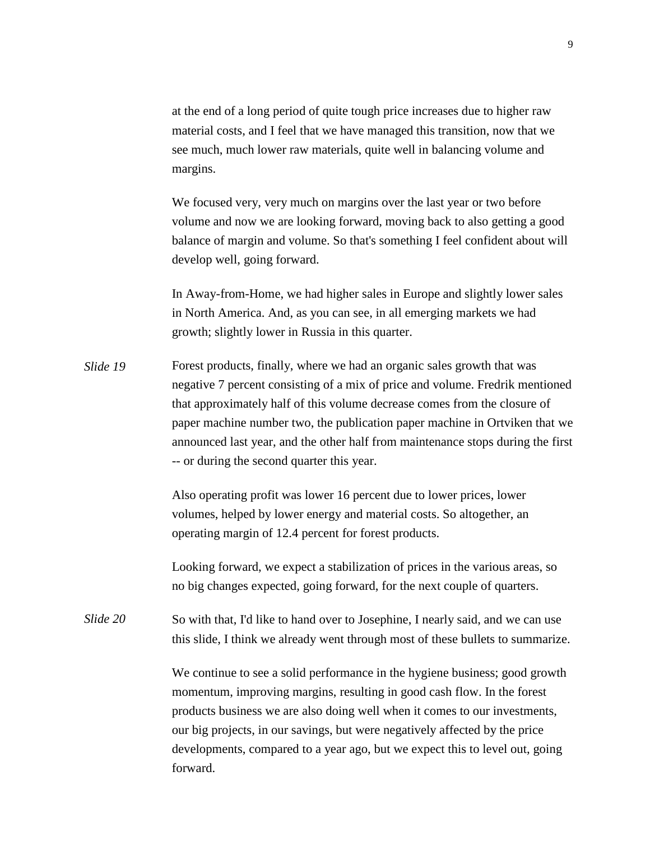at the end of a long period of quite tough price increases due to higher raw material costs, and I feel that we have managed this transition, now that we see much, much lower raw materials, quite well in balancing volume and margins.

We focused very, very much on margins over the last year or two before volume and now we are looking forward, moving back to also getting a good balance of margin and volume. So that's something I feel confident about will develop well, going forward.

In Away-from-Home, we had higher sales in Europe and slightly lower sales in North America. And, as you can see, in all emerging markets we had growth; slightly lower in Russia in this quarter.

Forest products, finally, where we had an organic sales growth that was negative 7 percent consisting of a mix of price and volume. Fredrik mentioned that approximately half of this volume decrease comes from the closure of paper machine number two, the publication paper machine in Ortviken that we announced last year, and the other half from maintenance stops during the first -- or during the second quarter this year. *Slide 19*

> Also operating profit was lower 16 percent due to lower prices, lower volumes, helped by lower energy and material costs. So altogether, an operating margin of 12.4 percent for forest products.

Looking forward, we expect a stabilization of prices in the various areas, so no big changes expected, going forward, for the next couple of quarters.

So with that, I'd like to hand over to Josephine, I nearly said, and we can use this slide, I think we already went through most of these bullets to summarize. *Slide 20*

> We continue to see a solid performance in the hygiene business; good growth momentum, improving margins, resulting in good cash flow. In the forest products business we are also doing well when it comes to our investments, our big projects, in our savings, but were negatively affected by the price developments, compared to a year ago, but we expect this to level out, going forward.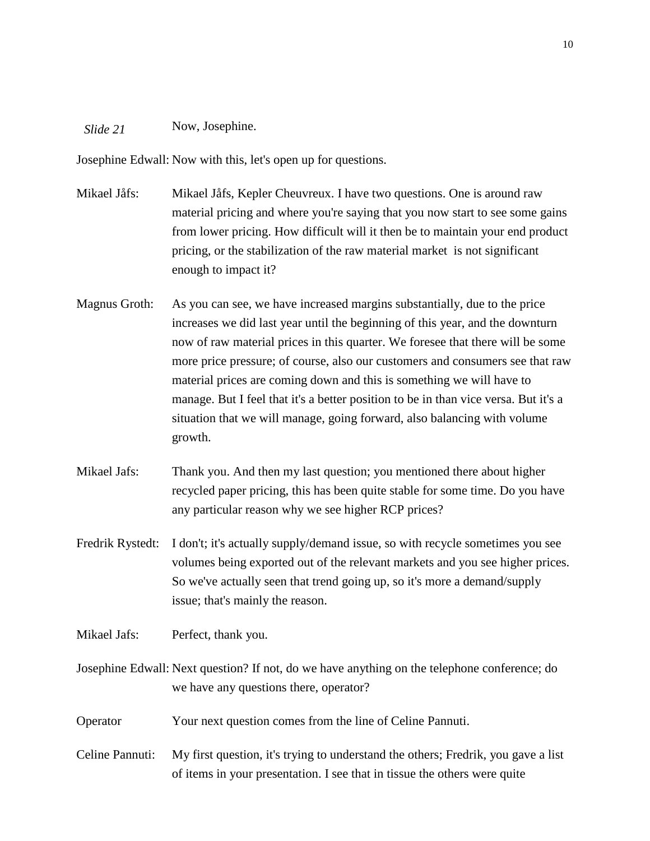## Now, Josephine. *Slide 21*

Josephine Edwall: Now with this, let's open up for questions.

- Mikael Jåfs: Mikael Jåfs, Kepler Cheuvreux. I have two questions. One is around raw material pricing and where you're saying that you now start to see some gains from lower pricing. How difficult will it then be to maintain your end product pricing, or the stabilization of the raw material market is not significant enough to impact it?
- Magnus Groth: As you can see, we have increased margins substantially, due to the price increases we did last year until the beginning of this year, and the downturn now of raw material prices in this quarter. We foresee that there will be some more price pressure; of course, also our customers and consumers see that raw material prices are coming down and this is something we will have to manage. But I feel that it's a better position to be in than vice versa. But it's a situation that we will manage, going forward, also balancing with volume growth.
- Mikael Jafs: Thank you. And then my last question; you mentioned there about higher recycled paper pricing, this has been quite stable for some time. Do you have any particular reason why we see higher RCP prices?
- Fredrik Rystedt: I don't; it's actually supply/demand issue, so with recycle sometimes you see volumes being exported out of the relevant markets and you see higher prices. So we've actually seen that trend going up, so it's more a demand/supply issue; that's mainly the reason.

Mikael Jafs: Perfect, thank you.

Josephine Edwall: Next question? If not, do we have anything on the telephone conference; do we have any questions there, operator?

Operator Your next question comes from the line of Celine Pannuti.

Celine Pannuti: My first question, it's trying to understand the others; Fredrik, you gave a list of items in your presentation. I see that in tissue the others were quite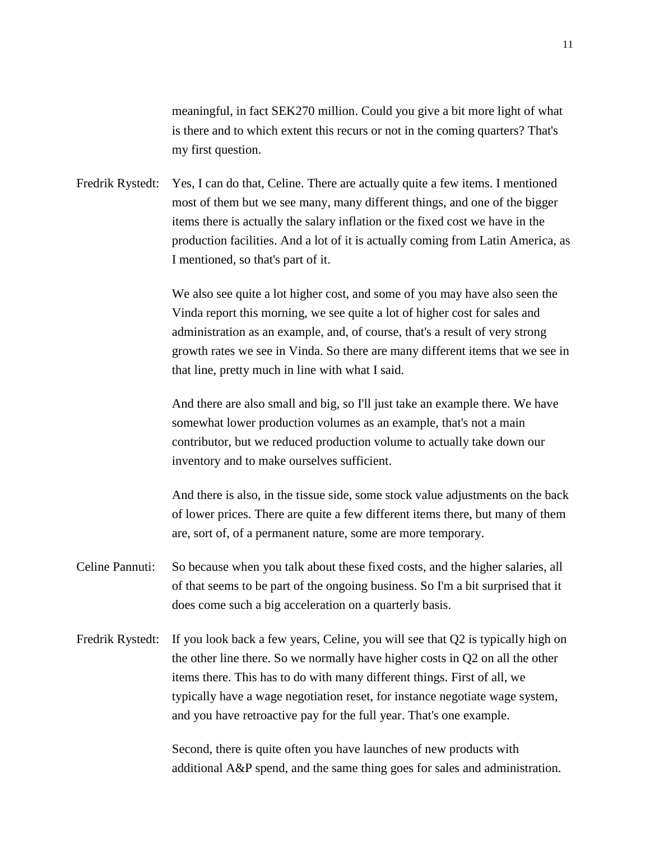meaningful, in fact SEK270 million. Could you give a bit more light of what is there and to which extent this recurs or not in the coming quarters? That's my first question.

Fredrik Rystedt: Yes, I can do that, Celine. There are actually quite a few items. I mentioned most of them but we see many, many different things, and one of the bigger items there is actually the salary inflation or the fixed cost we have in the production facilities. And a lot of it is actually coming from Latin America, as I mentioned, so that's part of it.

> We also see quite a lot higher cost, and some of you may have also seen the Vinda report this morning, we see quite a lot of higher cost for sales and administration as an example, and, of course, that's a result of very strong growth rates we see in Vinda. So there are many different items that we see in that line, pretty much in line with what I said.

And there are also small and big, so I'll just take an example there. We have somewhat lower production volumes as an example, that's not a main contributor, but we reduced production volume to actually take down our inventory and to make ourselves sufficient.

And there is also, in the tissue side, some stock value adjustments on the back of lower prices. There are quite a few different items there, but many of them are, sort of, of a permanent nature, some are more temporary.

- Celine Pannuti: So because when you talk about these fixed costs, and the higher salaries, all of that seems to be part of the ongoing business. So I'm a bit surprised that it does come such a big acceleration on a quarterly basis.
- Fredrik Rystedt: If you look back a few years, Celine, you will see that Q2 is typically high on the other line there. So we normally have higher costs in Q2 on all the other items there. This has to do with many different things. First of all, we typically have a wage negotiation reset, for instance negotiate wage system, and you have retroactive pay for the full year. That's one example.

Second, there is quite often you have launches of new products with additional A&P spend, and the same thing goes for sales and administration.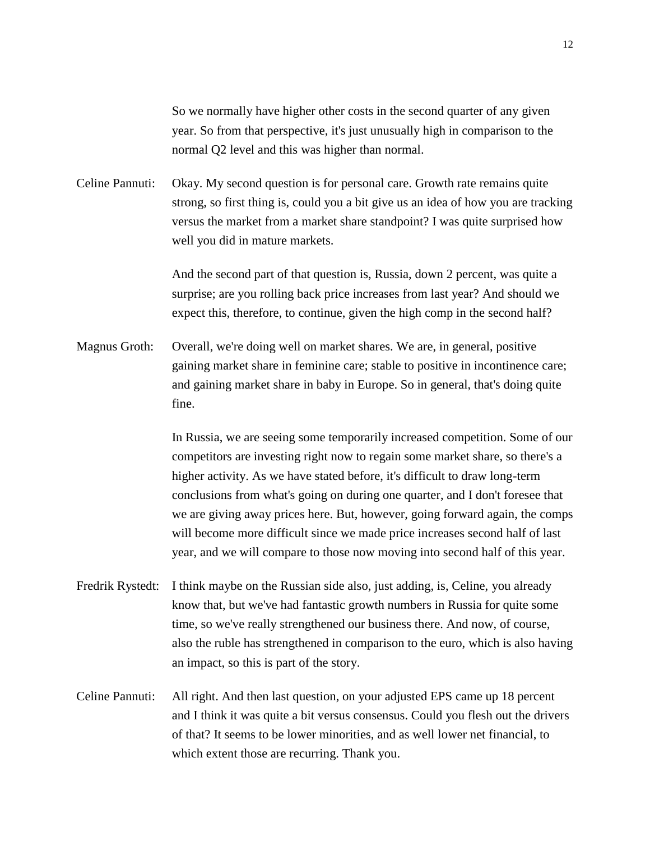So we normally have higher other costs in the second quarter of any given year. So from that perspective, it's just unusually high in comparison to the normal Q2 level and this was higher than normal.

Celine Pannuti: Okay. My second question is for personal care. Growth rate remains quite strong, so first thing is, could you a bit give us an idea of how you are tracking versus the market from a market share standpoint? I was quite surprised how well you did in mature markets.

> And the second part of that question is, Russia, down 2 percent, was quite a surprise; are you rolling back price increases from last year? And should we expect this, therefore, to continue, given the high comp in the second half?

Magnus Groth: Overall, we're doing well on market shares. We are, in general, positive gaining market share in feminine care; stable to positive in incontinence care; and gaining market share in baby in Europe. So in general, that's doing quite fine.

> In Russia, we are seeing some temporarily increased competition. Some of our competitors are investing right now to regain some market share, so there's a higher activity. As we have stated before, it's difficult to draw long-term conclusions from what's going on during one quarter, and I don't foresee that we are giving away prices here. But, however, going forward again, the comps will become more difficult since we made price increases second half of last year, and we will compare to those now moving into second half of this year.

- Fredrik Rystedt: I think maybe on the Russian side also, just adding, is, Celine, you already know that, but we've had fantastic growth numbers in Russia for quite some time, so we've really strengthened our business there. And now, of course, also the ruble has strengthened in comparison to the euro, which is also having an impact, so this is part of the story.
- Celine Pannuti: All right. And then last question, on your adjusted EPS came up 18 percent and I think it was quite a bit versus consensus. Could you flesh out the drivers of that? It seems to be lower minorities, and as well lower net financial, to which extent those are recurring. Thank you.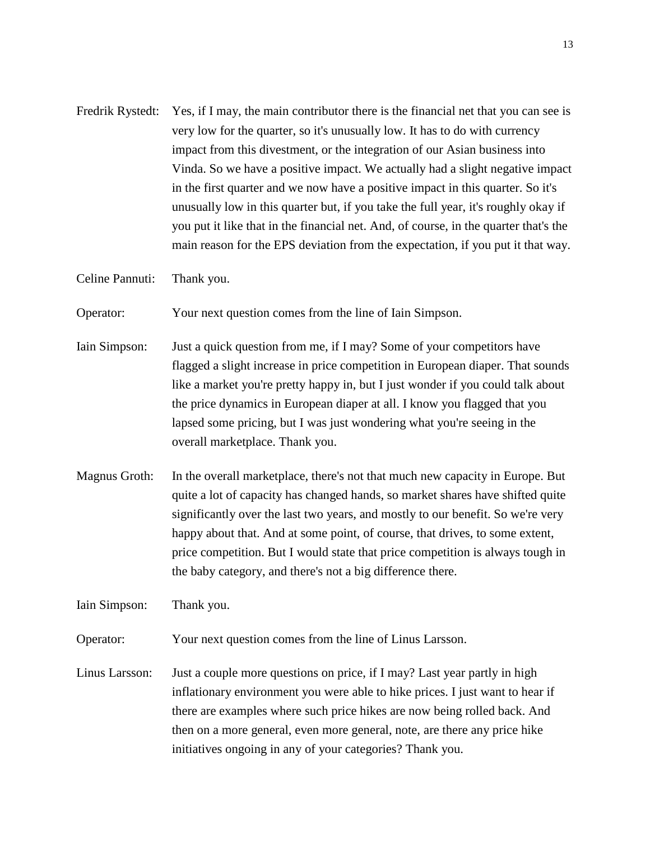Fredrik Rystedt: Yes, if I may, the main contributor there is the financial net that you can see is very low for the quarter, so it's unusually low. It has to do with currency impact from this divestment, or the integration of our Asian business into Vinda. So we have a positive impact. We actually had a slight negative impact in the first quarter and we now have a positive impact in this quarter. So it's unusually low in this quarter but, if you take the full year, it's roughly okay if you put it like that in the financial net. And, of course, in the quarter that's the main reason for the EPS deviation from the expectation, if you put it that way.

Celine Pannuti: Thank you.

Operator: Your next question comes from the line of Iain Simpson.

- Iain Simpson: Just a quick question from me, if I may? Some of your competitors have flagged a slight increase in price competition in European diaper. That sounds like a market you're pretty happy in, but I just wonder if you could talk about the price dynamics in European diaper at all. I know you flagged that you lapsed some pricing, but I was just wondering what you're seeing in the overall marketplace. Thank you.
- Magnus Groth: In the overall marketplace, there's not that much new capacity in Europe. But quite a lot of capacity has changed hands, so market shares have shifted quite significantly over the last two years, and mostly to our benefit. So we're very happy about that. And at some point, of course, that drives, to some extent, price competition. But I would state that price competition is always tough in the baby category, and there's not a big difference there.

Iain Simpson: Thank you.

Operator: Your next question comes from the line of Linus Larsson.

Linus Larsson: Just a couple more questions on price, if I may? Last year partly in high inflationary environment you were able to hike prices. I just want to hear if there are examples where such price hikes are now being rolled back. And then on a more general, even more general, note, are there any price hike initiatives ongoing in any of your categories? Thank you.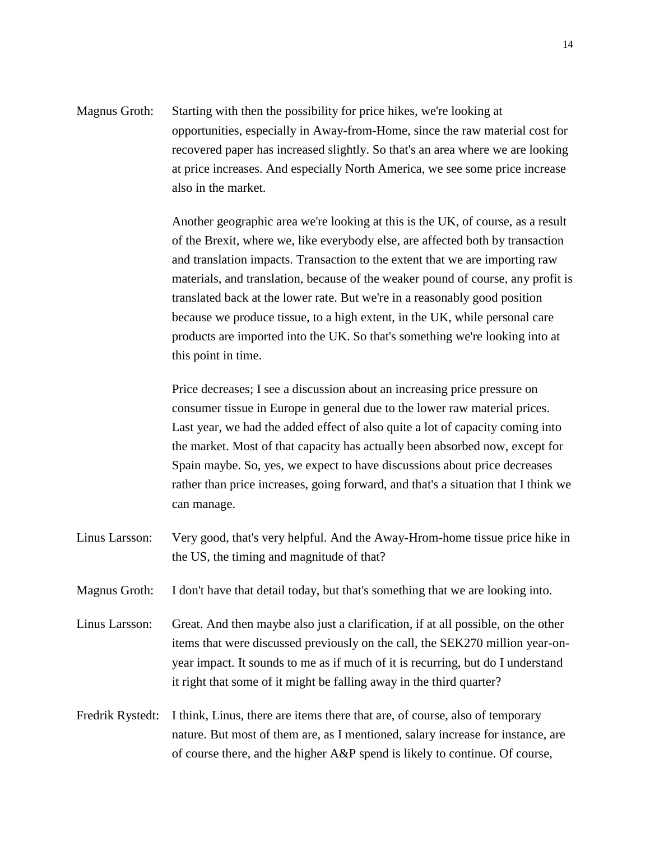Magnus Groth: Starting with then the possibility for price hikes, we're looking at opportunities, especially in Away-from-Home, since the raw material cost for recovered paper has increased slightly. So that's an area where we are looking at price increases. And especially North America, we see some price increase also in the market.

> Another geographic area we're looking at this is the UK, of course, as a result of the Brexit, where we, like everybody else, are affected both by transaction and translation impacts. Transaction to the extent that we are importing raw materials, and translation, because of the weaker pound of course, any profit is translated back at the lower rate. But we're in a reasonably good position because we produce tissue, to a high extent, in the UK, while personal care products are imported into the UK. So that's something we're looking into at this point in time.

> Price decreases; I see a discussion about an increasing price pressure on consumer tissue in Europe in general due to the lower raw material prices. Last year, we had the added effect of also quite a lot of capacity coming into the market. Most of that capacity has actually been absorbed now, except for Spain maybe. So, yes, we expect to have discussions about price decreases rather than price increases, going forward, and that's a situation that I think we can manage.

- Linus Larsson: Very good, that's very helpful. And the Away-Hrom-home tissue price hike in the US, the timing and magnitude of that?
- Magnus Groth: I don't have that detail today, but that's something that we are looking into.
- Linus Larsson: Great. And then maybe also just a clarification, if at all possible, on the other items that were discussed previously on the call, the SEK270 million year-onyear impact. It sounds to me as if much of it is recurring, but do I understand it right that some of it might be falling away in the third quarter?
- Fredrik Rystedt: I think, Linus, there are items there that are, of course, also of temporary nature. But most of them are, as I mentioned, salary increase for instance, are of course there, and the higher A&P spend is likely to continue. Of course,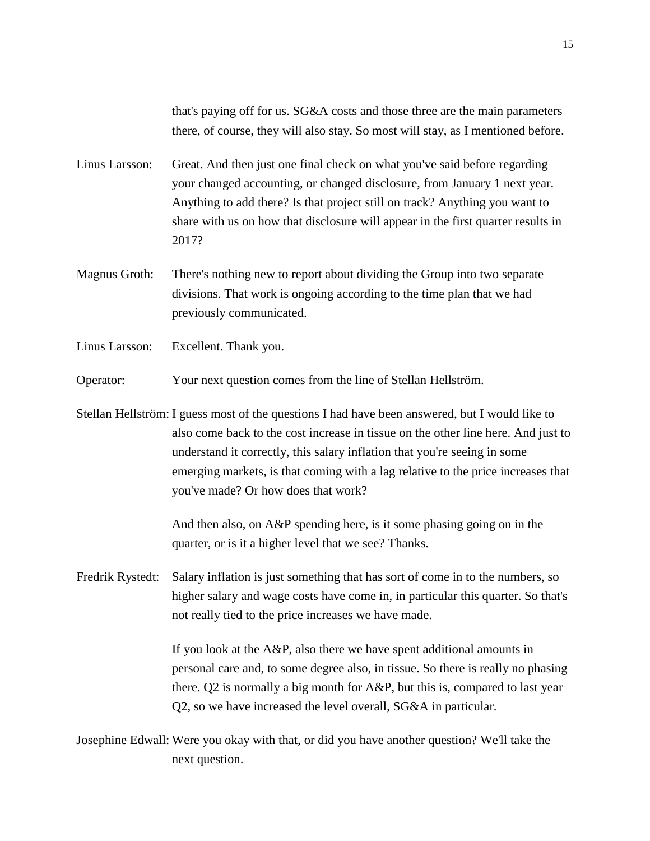that's paying off for us. SG&A costs and those three are the main parameters there, of course, they will also stay. So most will stay, as I mentioned before.

- Linus Larsson: Great. And then just one final check on what you've said before regarding your changed accounting, or changed disclosure, from January 1 next year. Anything to add there? Is that project still on track? Anything you want to share with us on how that disclosure will appear in the first quarter results in 2017?
- Magnus Groth: There's nothing new to report about dividing the Group into two separate divisions. That work is ongoing according to the time plan that we had previously communicated.
- Linus Larsson: Excellent. Thank you.
- Operator: Your next question comes from the line of Stellan Hellström.
- Stellan Hellström: I guess most of the questions I had have been answered, but I would like to also come back to the cost increase in tissue on the other line here. And just to understand it correctly, this salary inflation that you're seeing in some emerging markets, is that coming with a lag relative to the price increases that you've made? Or how does that work?

And then also, on A&P spending here, is it some phasing going on in the quarter, or is it a higher level that we see? Thanks.

Fredrik Rystedt: Salary inflation is just something that has sort of come in to the numbers, so higher salary and wage costs have come in, in particular this quarter. So that's not really tied to the price increases we have made.

> If you look at the A&P, also there we have spent additional amounts in personal care and, to some degree also, in tissue. So there is really no phasing there. Q2 is normally a big month for A&P, but this is, compared to last year Q2, so we have increased the level overall, SG&A in particular.

Josephine Edwall: Were you okay with that, or did you have another question? We'll take the next question.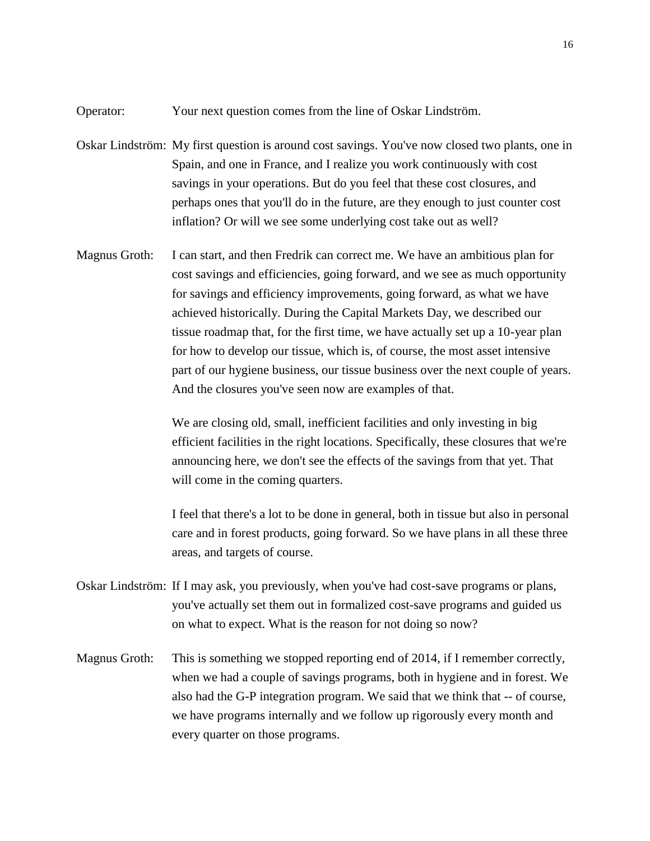Operator: Your next question comes from the line of Oskar Lindström.

- Oskar Lindström: My first question is around cost savings. You've now closed two plants, one in Spain, and one in France, and I realize you work continuously with cost savings in your operations. But do you feel that these cost closures, and perhaps ones that you'll do in the future, are they enough to just counter cost inflation? Or will we see some underlying cost take out as well?
- Magnus Groth: I can start, and then Fredrik can correct me. We have an ambitious plan for cost savings and efficiencies, going forward, and we see as much opportunity for savings and efficiency improvements, going forward, as what we have achieved historically. During the Capital Markets Day, we described our tissue roadmap that, for the first time, we have actually set up a 10-year plan for how to develop our tissue, which is, of course, the most asset intensive part of our hygiene business, our tissue business over the next couple of years. And the closures you've seen now are examples of that.

We are closing old, small, inefficient facilities and only investing in big efficient facilities in the right locations. Specifically, these closures that we're announcing here, we don't see the effects of the savings from that yet. That will come in the coming quarters.

I feel that there's a lot to be done in general, both in tissue but also in personal care and in forest products, going forward. So we have plans in all these three areas, and targets of course.

- Oskar Lindström: If I may ask, you previously, when you've had cost-save programs or plans, you've actually set them out in formalized cost-save programs and guided us on what to expect. What is the reason for not doing so now?
- Magnus Groth: This is something we stopped reporting end of 2014, if I remember correctly, when we had a couple of savings programs, both in hygiene and in forest. We also had the G-P integration program. We said that we think that -- of course, we have programs internally and we follow up rigorously every month and every quarter on those programs.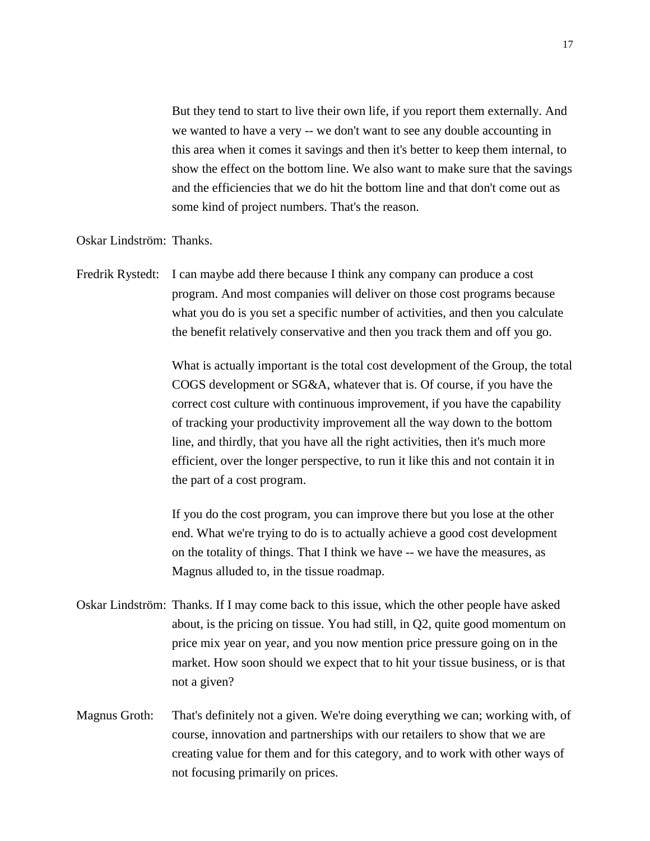But they tend to start to live their own life, if you report them externally. And we wanted to have a very -- we don't want to see any double accounting in this area when it comes it savings and then it's better to keep them internal, to show the effect on the bottom line. We also want to make sure that the savings and the efficiencies that we do hit the bottom line and that don't come out as some kind of project numbers. That's the reason.

Oskar Lindström: Thanks.

Fredrik Rystedt: I can maybe add there because I think any company can produce a cost program. And most companies will deliver on those cost programs because what you do is you set a specific number of activities, and then you calculate the benefit relatively conservative and then you track them and off you go.

> What is actually important is the total cost development of the Group, the total COGS development or SG&A, whatever that is. Of course, if you have the correct cost culture with continuous improvement, if you have the capability of tracking your productivity improvement all the way down to the bottom line, and thirdly, that you have all the right activities, then it's much more efficient, over the longer perspective, to run it like this and not contain it in the part of a cost program.

If you do the cost program, you can improve there but you lose at the other end. What we're trying to do is to actually achieve a good cost development on the totality of things. That I think we have -- we have the measures, as Magnus alluded to, in the tissue roadmap.

- Oskar Lindström: Thanks. If I may come back to this issue, which the other people have asked about, is the pricing on tissue. You had still, in Q2, quite good momentum on price mix year on year, and you now mention price pressure going on in the market. How soon should we expect that to hit your tissue business, or is that not a given?
- Magnus Groth: That's definitely not a given. We're doing everything we can; working with, of course, innovation and partnerships with our retailers to show that we are creating value for them and for this category, and to work with other ways of not focusing primarily on prices.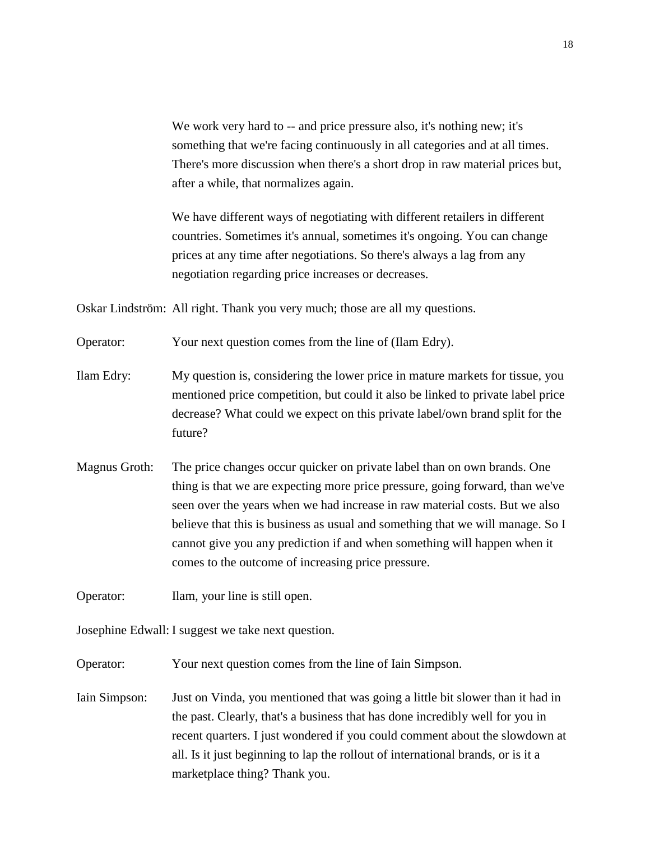We work very hard to -- and price pressure also, it's nothing new; it's something that we're facing continuously in all categories and at all times. There's more discussion when there's a short drop in raw material prices but, after a while, that normalizes again.

We have different ways of negotiating with different retailers in different countries. Sometimes it's annual, sometimes it's ongoing. You can change prices at any time after negotiations. So there's always a lag from any negotiation regarding price increases or decreases.

Oskar Lindström: All right. Thank you very much; those are all my questions.

Operator: Your next question comes from the line of (Ilam Edry).

Ilam Edry: My question is, considering the lower price in mature markets for tissue, you mentioned price competition, but could it also be linked to private label price decrease? What could we expect on this private label/own brand split for the future?

Magnus Groth: The price changes occur quicker on private label than on own brands. One thing is that we are expecting more price pressure, going forward, than we've seen over the years when we had increase in raw material costs. But we also believe that this is business as usual and something that we will manage. So I cannot give you any prediction if and when something will happen when it comes to the outcome of increasing price pressure.

Operator: Ilam, your line is still open.

Josephine Edwall: I suggest we take next question.

Operator: Your next question comes from the line of Iain Simpson.

Iain Simpson: Just on Vinda, you mentioned that was going a little bit slower than it had in the past. Clearly, that's a business that has done incredibly well for you in recent quarters. I just wondered if you could comment about the slowdown at all. Is it just beginning to lap the rollout of international brands, or is it a marketplace thing? Thank you.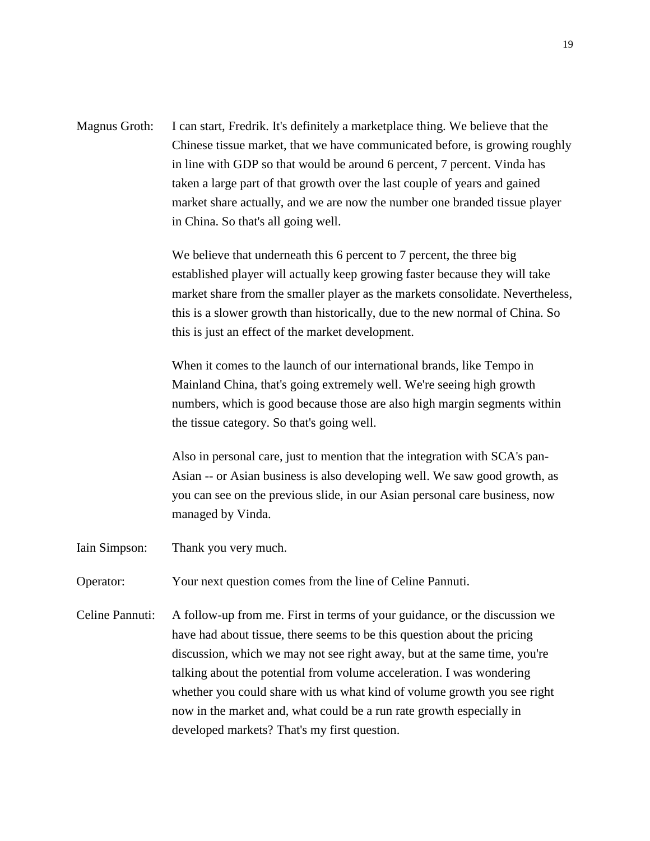Magnus Groth: I can start, Fredrik. It's definitely a marketplace thing. We believe that the Chinese tissue market, that we have communicated before, is growing roughly in line with GDP so that would be around 6 percent, 7 percent. Vinda has taken a large part of that growth over the last couple of years and gained market share actually, and we are now the number one branded tissue player in China. So that's all going well.

> We believe that underneath this 6 percent to 7 percent, the three big established player will actually keep growing faster because they will take market share from the smaller player as the markets consolidate. Nevertheless, this is a slower growth than historically, due to the new normal of China. So this is just an effect of the market development.

When it comes to the launch of our international brands, like Tempo in Mainland China, that's going extremely well. We're seeing high growth numbers, which is good because those are also high margin segments within the tissue category. So that's going well.

Also in personal care, just to mention that the integration with SCA's pan-Asian -- or Asian business is also developing well. We saw good growth, as you can see on the previous slide, in our Asian personal care business, now managed by Vinda.

- Iain Simpson: Thank you very much.
- Operator: Your next question comes from the line of Celine Pannuti.
- Celine Pannuti: A follow-up from me. First in terms of your guidance, or the discussion we have had about tissue, there seems to be this question about the pricing discussion, which we may not see right away, but at the same time, you're talking about the potential from volume acceleration. I was wondering whether you could share with us what kind of volume growth you see right now in the market and, what could be a run rate growth especially in developed markets? That's my first question.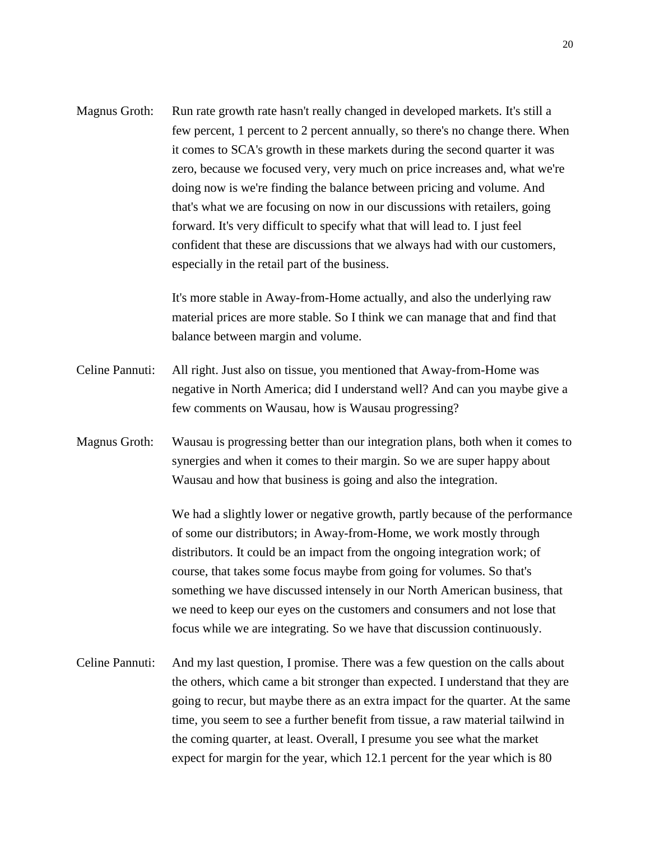| Magnus Groth:   | Run rate growth rate hasn't really changed in developed markets. It's still a   |
|-----------------|---------------------------------------------------------------------------------|
|                 | few percent, 1 percent to 2 percent annually, so there's no change there. When  |
|                 | it comes to SCA's growth in these markets during the second quarter it was      |
|                 | zero, because we focused very, very much on price increases and, what we're     |
|                 | doing now is we're finding the balance between pricing and volume. And          |
|                 | that's what we are focusing on now in our discussions with retailers, going     |
|                 | forward. It's very difficult to specify what that will lead to. I just feel     |
|                 | confident that these are discussions that we always had with our customers,     |
|                 | especially in the retail part of the business.                                  |
|                 | It's more stable in Away-from-Home actually, and also the underlying raw        |
|                 | material prices are more stable. So I think we can manage that and find that    |
|                 | balance between margin and volume.                                              |
| Celine Pannuti: | All right. Just also on tissue, you mentioned that Away-from-Home was           |
|                 | negative in North America; did I understand well? And can you maybe give a      |
|                 | few comments on Wausau, how is Wausau progressing?                              |
| Magnus Groth:   | Wausau is progressing better than our integration plans, both when it comes to  |
|                 | synergies and when it comes to their margin. So we are super happy about        |
|                 | Wausau and how that business is going and also the integration.                 |
|                 | We had a slightly lower or negative growth, partly because of the performance   |
|                 | of some our distributors; in Away-from-Home, we work mostly through             |
|                 | distributors. It could be an impact from the ongoing integration work; of       |
|                 | course, that takes some focus maybe from going for volumes. So that's           |
|                 | something we have discussed intensely in our North American business, that      |
|                 | we need to keep our eyes on the customers and consumers and not lose that       |
|                 | focus while we are integrating. So we have that discussion continuously.        |
| Celine Pannuti: | And my last question, I promise. There was a few question on the calls about    |
|                 | the others, which came a bit stronger than expected. I understand that they are |
|                 | going to recur, but maybe there as an extra impact for the quarter. At the same |
|                 | time, you seem to see a further benefit from tissue, a raw material tailwind in |
|                 | the coming quarter, at least. Overall, I presume you see what the market        |

expect for margin for the year, which 12.1 percent for the year which is 80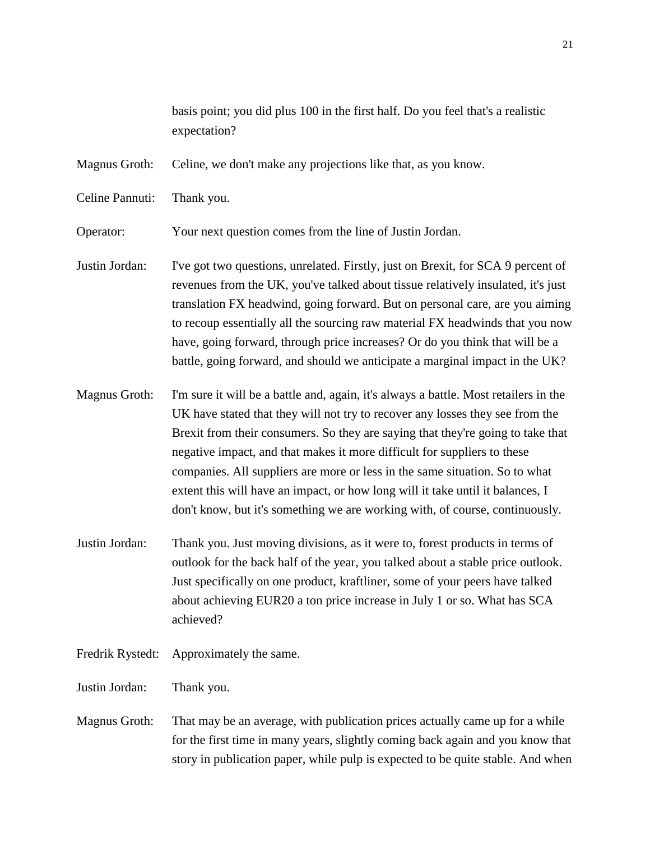basis point; you did plus 100 in the first half. Do you feel that's a realistic expectation?

Magnus Groth: Celine, we don't make any projections like that, as you know.

Celine Pannuti: Thank you.

Operator: Your next question comes from the line of Justin Jordan.

Justin Jordan: I've got two questions, unrelated. Firstly, just on Brexit, for SCA 9 percent of revenues from the UK, you've talked about tissue relatively insulated, it's just translation FX headwind, going forward. But on personal care, are you aiming to recoup essentially all the sourcing raw material FX headwinds that you now have, going forward, through price increases? Or do you think that will be a battle, going forward, and should we anticipate a marginal impact in the UK?

Magnus Groth: I'm sure it will be a battle and, again, it's always a battle. Most retailers in the UK have stated that they will not try to recover any losses they see from the Brexit from their consumers. So they are saying that they're going to take that negative impact, and that makes it more difficult for suppliers to these companies. All suppliers are more or less in the same situation. So to what extent this will have an impact, or how long will it take until it balances, I don't know, but it's something we are working with, of course, continuously.

- Justin Jordan: Thank you. Just moving divisions, as it were to, forest products in terms of outlook for the back half of the year, you talked about a stable price outlook. Just specifically on one product, kraftliner, some of your peers have talked about achieving EUR20 a ton price increase in July 1 or so. What has SCA achieved?
- Fredrik Rystedt: Approximately the same.
- Justin Jordan: Thank you.
- Magnus Groth: That may be an average, with publication prices actually came up for a while for the first time in many years, slightly coming back again and you know that story in publication paper, while pulp is expected to be quite stable. And when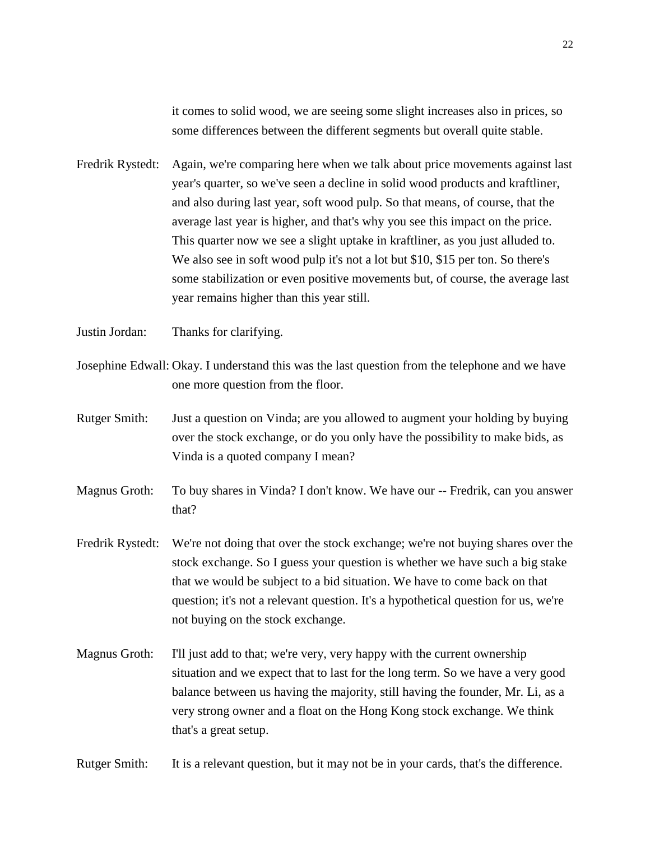it comes to solid wood, we are seeing some slight increases also in prices, so some differences between the different segments but overall quite stable.

- Fredrik Rystedt: Again, we're comparing here when we talk about price movements against last year's quarter, so we've seen a decline in solid wood products and kraftliner, and also during last year, soft wood pulp. So that means, of course, that the average last year is higher, and that's why you see this impact on the price. This quarter now we see a slight uptake in kraftliner, as you just alluded to. We also see in soft wood pulp it's not a lot but \$10, \$15 per ton. So there's some stabilization or even positive movements but, of course, the average last year remains higher than this year still.
- Justin Jordan: Thanks for clarifying.
- Josephine Edwall: Okay. I understand this was the last question from the telephone and we have one more question from the floor.
- Rutger Smith: Just a question on Vinda; are you allowed to augment your holding by buying over the stock exchange, or do you only have the possibility to make bids, as Vinda is a quoted company I mean?
- Magnus Groth: To buy shares in Vinda? I don't know. We have our -- Fredrik, can you answer that?
- Fredrik Rystedt: We're not doing that over the stock exchange; we're not buying shares over the stock exchange. So I guess your question is whether we have such a big stake that we would be subject to a bid situation. We have to come back on that question; it's not a relevant question. It's a hypothetical question for us, we're not buying on the stock exchange.
- Magnus Groth: I'll just add to that; we're very, very happy with the current ownership situation and we expect that to last for the long term. So we have a very good balance between us having the majority, still having the founder, Mr. Li, as a very strong owner and a float on the Hong Kong stock exchange. We think that's a great setup.

Rutger Smith: It is a relevant question, but it may not be in your cards, that's the difference.